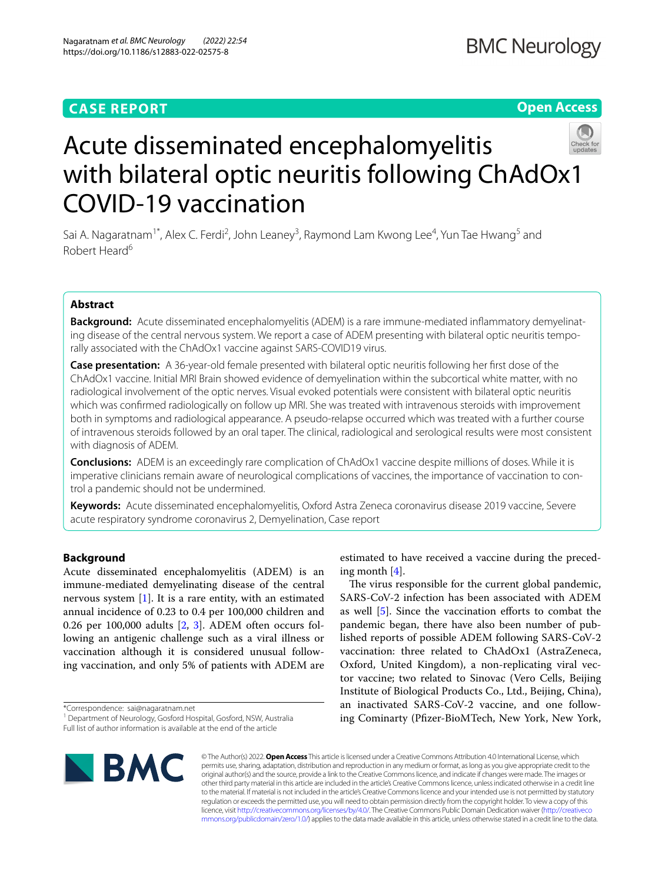# **CASE REPORT**

**Open Access**



# Acute disseminated encephalomyelitis with bilateral optic neuritis following ChAdOx1 COVID-19 vaccination

Sai A. Nagaratnam<sup>1\*</sup>, Alex C. Ferdi<sup>2</sup>, John Leaney<sup>3</sup>, Raymond Lam Kwong Lee<sup>4</sup>, Yun Tae Hwang<sup>5</sup> and Robert Heard<sup>6</sup>

# **Abstract**

**Background:** Acute disseminated encephalomyelitis (ADEM) is a rare immune-mediated infammatory demyelinating disease of the central nervous system. We report a case of ADEM presenting with bilateral optic neuritis temporally associated with the ChAdOx1 vaccine against SARS-COVID19 virus.

**Case presentation:** A 36-year-old female presented with bilateral optic neuritis following her frst dose of the ChAdOx1 vaccine. Initial MRI Brain showed evidence of demyelination within the subcortical white matter, with no radiological involvement of the optic nerves. Visual evoked potentials were consistent with bilateral optic neuritis which was confrmed radiologically on follow up MRI. She was treated with intravenous steroids with improvement both in symptoms and radiological appearance. A pseudo-relapse occurred which was treated with a further course of intravenous steroids followed by an oral taper. The clinical, radiological and serological results were most consistent with diagnosis of ADEM.

**Conclusions:** ADEM is an exceedingly rare complication of ChAdOx1 vaccine despite millions of doses. While it is imperative clinicians remain aware of neurological complications of vaccines, the importance of vaccination to control a pandemic should not be undermined.

**Keywords:** Acute disseminated encephalomyelitis, Oxford Astra Zeneca coronavirus disease 2019 vaccine, Severe acute respiratory syndrome coronavirus 2, Demyelination, Case report

# **Background**

Acute disseminated encephalomyelitis (ADEM) is an immune-mediated demyelinating disease of the central nervous system  $[1]$  $[1]$ . It is a rare entity, with an estimated annual incidence of 0.23 to 0.4 per 100,000 children and 0.26 per 100,000 adults [\[2](#page-6-1), [3](#page-6-2)]. ADEM often occurs following an antigenic challenge such as a viral illness or vaccination although it is considered unusual following vaccination, and only 5% of patients with ADEM are

\*Correspondence: sai@nagaratnam.net

Full list of author information is available at the end of the article



estimated to have received a vaccine during the preceding month [[4\]](#page-6-3).

The virus responsible for the current global pandemic, SARS-CoV-2 infection has been associated with ADEM as well [[5\]](#page-6-4). Since the vaccination eforts to combat the pandemic began, there have also been number of published reports of possible ADEM following SARS-CoV-2 vaccination: three related to ChAdOx1 (AstraZeneca, Oxford, United Kingdom), a non-replicating viral vector vaccine; two related to Sinovac (Vero Cells, Beijing Institute of Biological Products Co., Ltd., Beijing, China), an inactivated SARS-CoV-2 vaccine, and one following Cominarty (Pfzer-BioMTech, New York, New York,

© The Author(s) 2022. **Open Access** This article is licensed under a Creative Commons Attribution 4.0 International License, which permits use, sharing, adaptation, distribution and reproduction in any medium or format, as long as you give appropriate credit to the original author(s) and the source, provide a link to the Creative Commons licence, and indicate if changes were made. The images or other third party material in this article are included in the article's Creative Commons licence, unless indicated otherwise in a credit line to the material. If material is not included in the article's Creative Commons licence and your intended use is not permitted by statutory regulation or exceeds the permitted use, you will need to obtain permission directly from the copyright holder. To view a copy of this licence, visit [http://creativecommons.org/licenses/by/4.0/.](http://creativecommons.org/licenses/by/4.0/) The Creative Commons Public Domain Dedication waiver ([http://creativeco](http://creativecommons.org/publicdomain/zero/1.0/) [mmons.org/publicdomain/zero/1.0/](http://creativecommons.org/publicdomain/zero/1.0/)) applies to the data made available in this article, unless otherwise stated in a credit line to the data.

<sup>&</sup>lt;sup>1</sup> Department of Neurology, Gosford Hospital, Gosford, NSW, Australia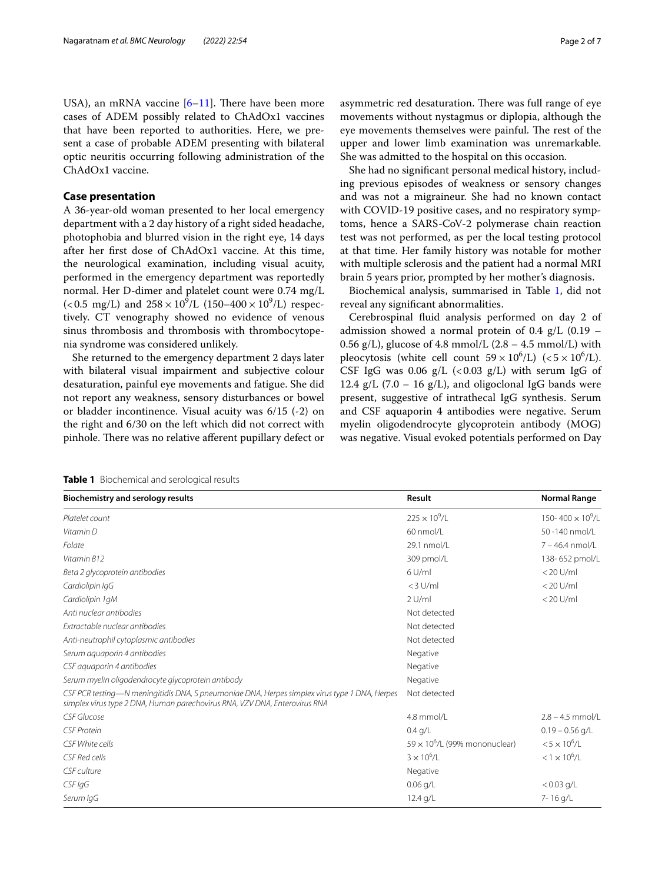USA), an mRNA vaccine  $[6-11]$  $[6-11]$ . There have been more cases of ADEM possibly related to ChAdOx1 vaccines that have been reported to authorities. Here, we present a case of probable ADEM presenting with bilateral optic neuritis occurring following administration of the ChAdOx1 vaccine.

## **Case presentation**

A 36-year-old woman presented to her local emergency department with a 2 day history of a right sided headache, photophobia and blurred vision in the right eye, 14 days after her frst dose of ChAdOx1 vaccine. At this time, the neurological examination, including visual acuity, performed in the emergency department was reportedly normal. Her D-dimer and platelet count were 0.74 mg/L (<0.5 mg/L) and  $258 \times 10^9$ /L (150–400  $\times 10^9$ /L) respectively. CT venography showed no evidence of venous sinus thrombosis and thrombosis with thrombocytopenia syndrome was considered unlikely.

She returned to the emergency department 2 days later with bilateral visual impairment and subjective colour desaturation, painful eye movements and fatigue. She did not report any weakness, sensory disturbances or bowel or bladder incontinence. Visual acuity was 6/15 (-2) on the right and 6/30 on the left which did not correct with pinhole. There was no relative afferent pupillary defect or asymmetric red desaturation. There was full range of eye movements without nystagmus or diplopia, although the eye movements themselves were painful. The rest of the upper and lower limb examination was unremarkable. She was admitted to the hospital on this occasion.

She had no signifcant personal medical history, including previous episodes of weakness or sensory changes and was not a migraineur. She had no known contact with COVID-19 positive cases, and no respiratory symptoms, hence a SARS-CoV-2 polymerase chain reaction test was not performed, as per the local testing protocol at that time. Her family history was notable for mother with multiple sclerosis and the patient had a normal MRI brain 5 years prior, prompted by her mother's diagnosis.

Biochemical analysis, summarised in Table [1,](#page-1-0) did not reveal any signifcant abnormalities.

Cerebrospinal fuid analysis performed on day 2 of admission showed a normal protein of 0.4  $g/L$  (0.19 – 0.56 g/L), glucose of 4.8 mmol/L  $(2.8 - 4.5 \text{ mmol/L})$  with pleocytosis (white cell count  $59 \times 10^6$ /L) (<5 × 10<sup>6</sup>/L). CSF IgG was 0.06  $g/L$  (<0.03  $g/L$ ) with serum IgG of 12.4 g/L (7.0 – 16 g/L), and oligoclonal IgG bands were present, suggestive of intrathecal IgG synthesis. Serum and CSF aquaporin 4 antibodies were negative. Serum myelin oligodendrocyte glycoprotein antibody (MOG) was negative. Visual evoked potentials performed on Day

<span id="page-1-0"></span>

| Table 1 Biochemical and serological results |
|---------------------------------------------|

| <b>Biochemistry and serology results</b>                                                                                                                                    | Result                                | <b>Normal Range</b><br>150-400 $\times$ 10 <sup>9</sup> /L |  |
|-----------------------------------------------------------------------------------------------------------------------------------------------------------------------------|---------------------------------------|------------------------------------------------------------|--|
| Platelet count                                                                                                                                                              | $225 \times 10^{9} / L$               |                                                            |  |
| Vitamin D                                                                                                                                                                   | 60 nmol/L                             | 50-140 nmol/L                                              |  |
| Folate                                                                                                                                                                      | 29.1 nmol/L                           | $7 - 46.4$ nmol/L                                          |  |
| Vitamin B12                                                                                                                                                                 | 309 pmol/L                            | 138-652 pmol/L                                             |  |
| Beta 2 glycoprotein antibodies                                                                                                                                              | $6$ U/ml                              | $<$ 20 U/ml                                                |  |
| Cardiolipin IqG                                                                                                                                                             | $<$ 3 U/ml                            | $<$ 20 U/ml                                                |  |
| Cardiolipin 1gM                                                                                                                                                             | $2$ U/ml                              | $<$ 20 U/ml                                                |  |
| Anti nuclear antibodies                                                                                                                                                     | Not detected                          |                                                            |  |
| Extractable nuclear antibodies                                                                                                                                              | Not detected                          |                                                            |  |
| Anti-neutrophil cytoplasmic antibodies                                                                                                                                      | Not detected                          |                                                            |  |
| Serum aquaporin 4 antibodies                                                                                                                                                | Negative                              |                                                            |  |
| CSF aguaporin 4 antibodies                                                                                                                                                  | Negative                              |                                                            |  |
| Serum myelin oligodendrocyte glycoprotein antibody                                                                                                                          | Negative                              |                                                            |  |
| CSF PCR testing—N meningitidis DNA, S pneumoniae DNA, Herpes simplex virus type 1 DNA, Herpes<br>simplex virus type 2 DNA, Human parechovirus RNA, VZV DNA, Enterovirus RNA | Not detected                          |                                                            |  |
| CSF Glucose                                                                                                                                                                 | 4.8 mmol/L                            | $2.8 - 4.5$ mmol/L                                         |  |
| <b>CSF Protein</b>                                                                                                                                                          | $0.4$ g/L                             | $0.19 - 0.56$ g/L                                          |  |
| CSF White cells                                                                                                                                                             | $59 \times 10^6$ /L (99% mononuclear) | $< 5 \times 10^{6}/L$                                      |  |
| CSF Red cells                                                                                                                                                               | $3 \times 10^{6}/I$                   | $< 1 \times 10^{6}/L$                                      |  |
| CSF culture                                                                                                                                                                 | Negative                              |                                                            |  |
| CSF IgG                                                                                                                                                                     | $0.06$ g/L                            | $< 0.03$ g/L                                               |  |
| Serum IgG                                                                                                                                                                   | $12.4$ g/L                            | 7-16 g/L                                                   |  |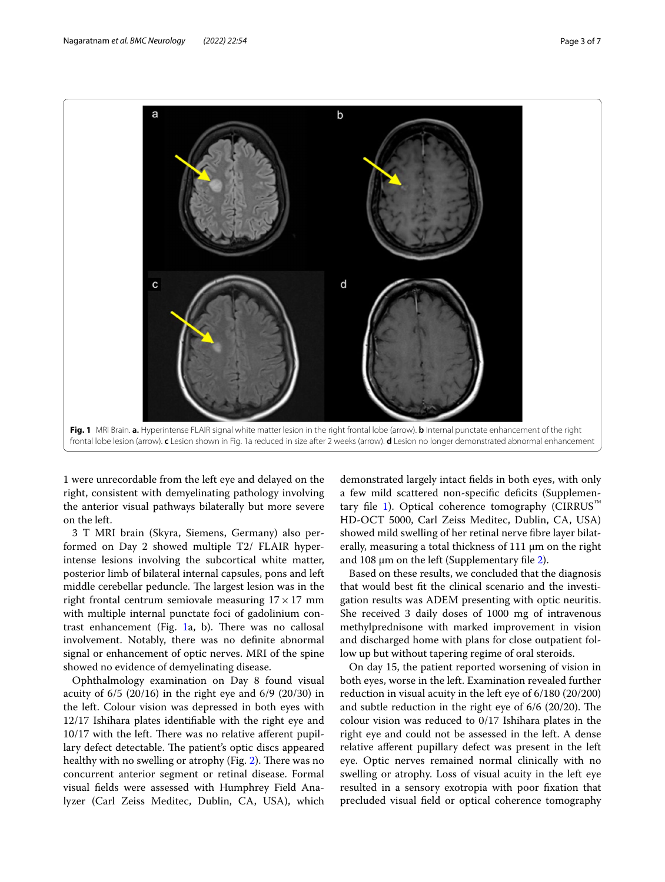

<span id="page-2-0"></span>1 were unrecordable from the left eye and delayed on the right, consistent with demyelinating pathology involving the anterior visual pathways bilaterally but more severe on the left.

3 T MRI brain (Skyra, Siemens, Germany) also performed on Day 2 showed multiple T2/ FLAIR hyperintense lesions involving the subcortical white matter, posterior limb of bilateral internal capsules, pons and left middle cerebellar peduncle. The largest lesion was in the right frontal centrum semiovale measuring  $17 \times 17$  mm with multiple internal punctate foci of gadolinium contrast enhancement (Fig.  $1a$ , b). There was no callosal involvement. Notably, there was no defnite abnormal signal or enhancement of optic nerves. MRI of the spine showed no evidence of demyelinating disease.

Ophthalmology examination on Day 8 found visual acuity of 6/5 (20/16) in the right eye and 6/9 (20/30) in the left. Colour vision was depressed in both eyes with 12/17 Ishihara plates identifable with the right eye and  $10/17$  with the left. There was no relative afferent pupillary defect detectable. The patient's optic discs appeared healthy with no swelling or atrophy (Fig. [2](#page-3-0)). There was no concurrent anterior segment or retinal disease. Formal visual felds were assessed with Humphrey Field Analyzer (Carl Zeiss Meditec, Dublin, CA, USA), which

demonstrated largely intact felds in both eyes, with only a few mild scattered non-specifc defcits (Supplemen-tary file [1\)](#page-5-0). Optical coherence tomography  $(CIRRUS<sup>TM</sup>)$ HD-OCT 5000, Carl Zeiss Meditec, Dublin, CA, USA) showed mild swelling of her retinal nerve fibre layer bilaterally, measuring a total thickness of 111 μm on the right and 108 μm on the left (Supplementary fle [2](#page-5-1)).

Based on these results, we concluded that the diagnosis that would best ft the clinical scenario and the investigation results was ADEM presenting with optic neuritis. She received 3 daily doses of 1000 mg of intravenous methylprednisone with marked improvement in vision and discharged home with plans for close outpatient follow up but without tapering regime of oral steroids.

On day 15, the patient reported worsening of vision in both eyes, worse in the left. Examination revealed further reduction in visual acuity in the left eye of 6/180 (20/200) and subtle reduction in the right eye of  $6/6$  (20/20). The colour vision was reduced to 0/17 Ishihara plates in the right eye and could not be assessed in the left. A dense relative aferent pupillary defect was present in the left eye. Optic nerves remained normal clinically with no swelling or atrophy. Loss of visual acuity in the left eye resulted in a sensory exotropia with poor fxation that precluded visual feld or optical coherence tomography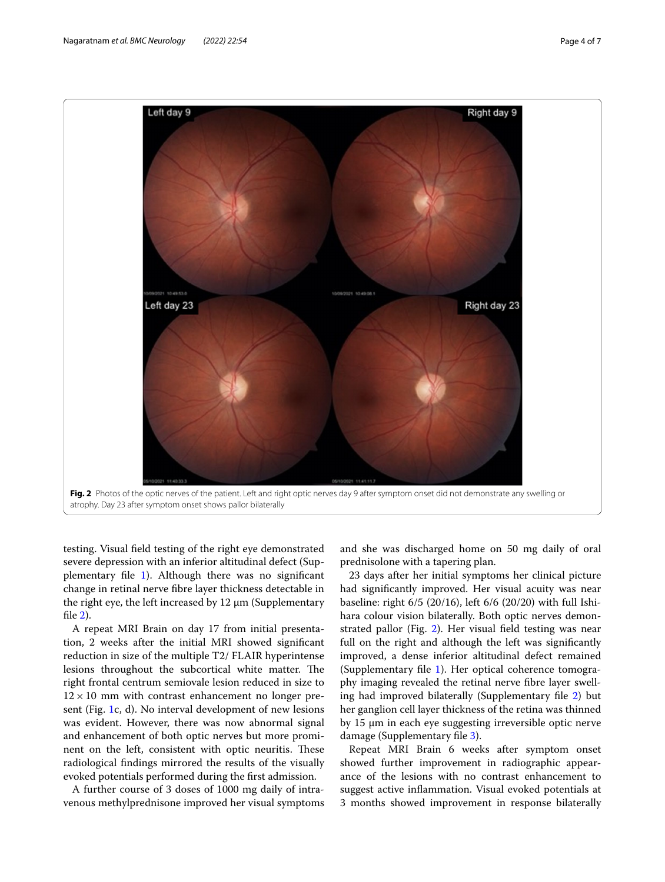

<span id="page-3-0"></span>testing. Visual feld testing of the right eye demonstrated severe depression with an inferior altitudinal defect (Supplementary fle [1](#page-5-0)). Although there was no signifcant change in retinal nerve fbre layer thickness detectable in the right eye, the left increased by 12 μm (Supplementary fle [2](#page-5-1)).

A repeat MRI Brain on day 17 from initial presentation, 2 weeks after the initial MRI showed signifcant reduction in size of the multiple T2/ FLAIR hyperintense lesions throughout the subcortical white matter. The right frontal centrum semiovale lesion reduced in size to  $12 \times 10$  mm with contrast enhancement no longer present (Fig. [1](#page-2-0)c, d). No interval development of new lesions was evident. However, there was now abnormal signal and enhancement of both optic nerves but more prominent on the left, consistent with optic neuritis. These radiological fndings mirrored the results of the visually evoked potentials performed during the frst admission.

A further course of 3 doses of 1000 mg daily of intravenous methylprednisone improved her visual symptoms

and she was discharged home on 50 mg daily of oral prednisolone with a tapering plan.

23 days after her initial symptoms her clinical picture had signifcantly improved. Her visual acuity was near baseline: right 6/5 (20/16), left 6/6 (20/20) with full Ishihara colour vision bilaterally. Both optic nerves demonstrated pallor (Fig. [2\)](#page-3-0). Her visual feld testing was near full on the right and although the left was signifcantly improved, a dense inferior altitudinal defect remained (Supplementary fle [1\)](#page-5-0). Her optical coherence tomography imaging revealed the retinal nerve fbre layer swelling had improved bilaterally (Supplementary fle [2\)](#page-5-1) but her ganglion cell layer thickness of the retina was thinned by 15 μm in each eye suggesting irreversible optic nerve damage (Supplementary fle [3](#page-5-2)).

Repeat MRI Brain 6 weeks after symptom onset showed further improvement in radiographic appearance of the lesions with no contrast enhancement to suggest active infammation. Visual evoked potentials at 3 months showed improvement in response bilaterally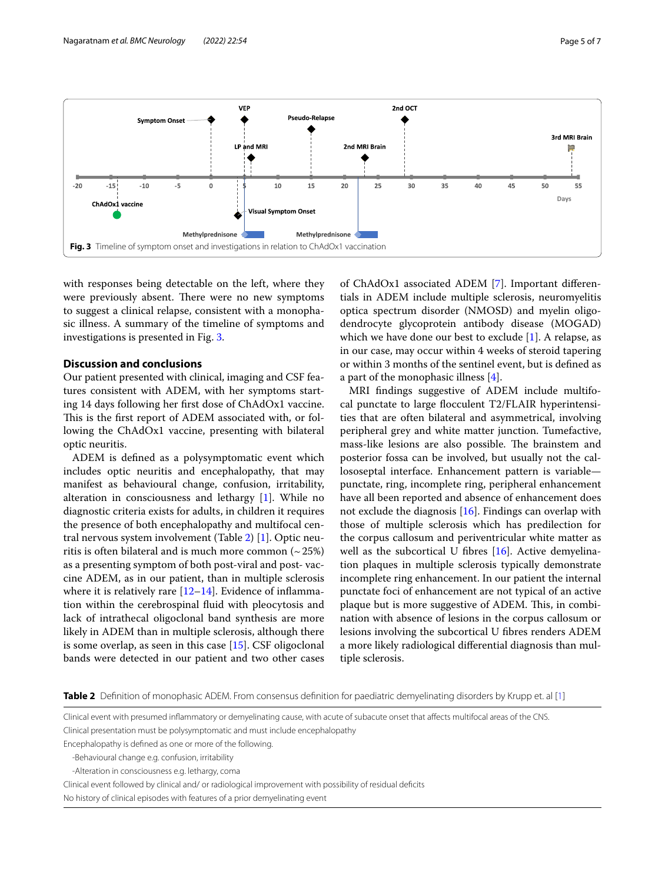

<span id="page-4-0"></span>with responses being detectable on the left, where they were previously absent. There were no new symptoms to suggest a clinical relapse, consistent with a monophasic illness. A summary of the timeline of symptoms and investigations is presented in Fig. [3.](#page-4-0)

# **Discussion and conclusions**

Our patient presented with clinical, imaging and CSF features consistent with ADEM, with her symptoms starting 14 days following her frst dose of ChAdOx1 vaccine. This is the first report of ADEM associated with, or following the ChAdOx1 vaccine, presenting with bilateral optic neuritis.

ADEM is defned as a polysymptomatic event which includes optic neuritis and encephalopathy, that may manifest as behavioural change, confusion, irritability, alteration in consciousness and lethargy [[1\]](#page-6-0). While no diagnostic criteria exists for adults, in children it requires the presence of both encephalopathy and multifocal central nervous system involvement (Table [2](#page-4-1)) [\[1](#page-6-0)]. Optic neuritis is often bilateral and is much more common  $(25%)$ as a presenting symptom of both post-viral and post- vaccine ADEM, as in our patient, than in multiple sclerosis where it is relatively rare  $[12-14]$  $[12-14]$ . Evidence of inflammation within the cerebrospinal fuid with pleocytosis and lack of intrathecal oligoclonal band synthesis are more likely in ADEM than in multiple sclerosis, although there is some overlap, as seen in this case [\[15](#page-6-9)]. CSF oligoclonal bands were detected in our patient and two other cases of ChAdOx1 associated ADEM [[7](#page-6-10)]. Important diferentials in ADEM include multiple sclerosis, neuromyelitis optica spectrum disorder (NMOSD) and myelin oligodendrocyte glycoprotein antibody disease (MOGAD) which we have done our best to exclude [\[1](#page-6-0)]. A relapse, as in our case, may occur within 4 weeks of steroid tapering or within 3 months of the sentinel event, but is defned as a part of the monophasic illness [[4\]](#page-6-3).

MRI fndings suggestive of ADEM include multifocal punctate to large focculent T2/FLAIR hyperintensities that are often bilateral and asymmetrical, involving peripheral grey and white matter junction. Tumefactive, mass-like lesions are also possible. The brainstem and posterior fossa can be involved, but usually not the callososeptal interface. Enhancement pattern is variable punctate, ring, incomplete ring, peripheral enhancement have all been reported and absence of enhancement does not exclude the diagnosis [[16\]](#page-6-11). Findings can overlap with those of multiple sclerosis which has predilection for the corpus callosum and periventricular white matter as well as the subcortical U fibres  $[16]$  $[16]$ . Active demyelination plaques in multiple sclerosis typically demonstrate incomplete ring enhancement. In our patient the internal punctate foci of enhancement are not typical of an active plaque but is more suggestive of ADEM. This, in combination with absence of lesions in the corpus callosum or lesions involving the subcortical U fbres renders ADEM a more likely radiological diferential diagnosis than multiple sclerosis.

<span id="page-4-1"></span>**Table 2** Definition of monophasic ADEM. From consensus definition for paediatric demyelinating disorders by Krupp et. al [[1](#page-6-0)]

Encephalopathy is defned as one or more of the following.

Clinical event with presumed infammatory or demyelinating cause, with acute of subacute onset that afects multifocal areas of the CNS. Clinical presentation must be polysymptomatic and must include encephalopathy

<sup>-</sup>Behavioural change e.g. confusion, irritability

<sup>-</sup>Alteration in consciousness e.g. lethargy, coma

Clinical event followed by clinical and/ or radiological improvement with possibility of residual defcits No history of clinical episodes with features of a prior demyelinating event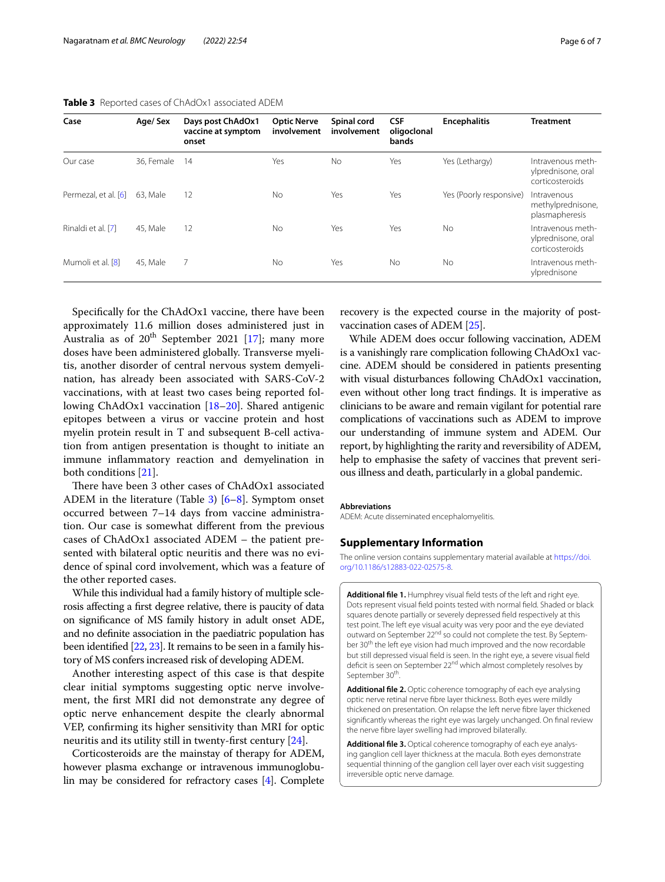| Case                 | Age/Sex    | Days post ChAdOx1<br>vaccine at symptom<br>onset | <b>Optic Nerve</b><br>involvement | Spinal cord<br>involvement | <b>CSF</b><br>oligoclonal<br>bands | <b>Encephalitis</b>     | <b>Treatment</b>                                           |
|----------------------|------------|--------------------------------------------------|-----------------------------------|----------------------------|------------------------------------|-------------------------|------------------------------------------------------------|
| Our case             | 36. Female | 14                                               | Yes                               | No.                        | Yes                                | Yes (Lethargy)          | Intravenous meth-<br>ylprednisone, oral<br>corticosteroids |
| Permezal, et al. [6] | 63. Male   | 12                                               | No                                | Yes                        | Yes                                | Yes (Poorly responsive) | Intravenous<br>methylprednisone,<br>plasmapheresis         |
| Rinaldi et al. [7]   | 45. Male   | 12                                               | No                                | Yes                        | Yes                                | <b>No</b>               | Intravenous meth-<br>vlprednisone, oral<br>corticosteroids |
| Mumoli et al. [8]    | 45. Male   | 7                                                | <b>No</b>                         | Yes                        | No.                                | No.                     | Intravenous meth-<br>ylprednisone                          |

#### <span id="page-5-3"></span>**Table 3** Reported cases of ChAdOx1 associated ADEM

Specifcally for the ChAdOx1 vaccine, there have been approximately 11.6 million doses administered just in Australia as of  $20^{th}$  September 2021 [[17\]](#page-6-12); many more doses have been administered globally. Transverse myelitis, another disorder of central nervous system demyelination, has already been associated with SARS-CoV-2 vaccinations, with at least two cases being reported following ChAdOx1 vaccination [[18](#page-6-13)[–20](#page-6-14)]. Shared antigenic epitopes between a virus or vaccine protein and host myelin protein result in T and subsequent B-cell activation from antigen presentation is thought to initiate an immune infammatory reaction and demyelination in both conditions [[21\]](#page-6-15).

There have been 3 other cases of ChAdOx1 associated ADEM in the literature (Table [3](#page-5-3)) [\[6](#page-6-5)–[8\]](#page-6-16). Symptom onset occurred between 7–14 days from vaccine administration. Our case is somewhat diferent from the previous cases of ChAdOx1 associated ADEM – the patient presented with bilateral optic neuritis and there was no evidence of spinal cord involvement, which was a feature of the other reported cases.

While this individual had a family history of multiple sclerosis afecting a frst degree relative, there is paucity of data on signifcance of MS family history in adult onset ADE, and no defnite association in the paediatric population has been identifed [\[22](#page-6-17), [23](#page-6-18)]. It remains to be seen in a family history of MS confers increased risk of developing ADEM.

Another interesting aspect of this case is that despite clear initial symptoms suggesting optic nerve involvement, the frst MRI did not demonstrate any degree of optic nerve enhancement despite the clearly abnormal VEP, confrming its higher sensitivity than MRI for optic neuritis and its utility still in twenty-frst century [[24\]](#page-6-19).

Corticosteroids are the mainstay of therapy for ADEM, however plasma exchange or intravenous immunoglobulin may be considered for refractory cases [[4](#page-6-3)]. Complete

recovery is the expected course in the majority of postvaccination cases of ADEM [[25\]](#page-6-20).

While ADEM does occur following vaccination, ADEM is a vanishingly rare complication following ChAdOx1 vaccine. ADEM should be considered in patients presenting with visual disturbances following ChAdOx1 vaccination, even without other long tract fndings. It is imperative as clinicians to be aware and remain vigilant for potential rare complications of vaccinations such as ADEM to improve our understanding of immune system and ADEM. Our report, by highlighting the rarity and reversibility of ADEM, help to emphasise the safety of vaccines that prevent serious illness and death, particularly in a global pandemic.

#### **Abbreviations**

ADEM: Acute disseminated encephalomyelitis.

#### **Supplementary Information**

The online version contains supplementary material available at [https://doi.](https://doi.org/10.1186/s12883-022-02575-8) [org/10.1186/s12883-022-02575-8](https://doi.org/10.1186/s12883-022-02575-8).

<span id="page-5-0"></span>**Additional fle 1.** Humphrey visual feld tests of the left and right eye. Dots represent visual feld points tested with normal feld. Shaded or black squares denote partially or severely depressed feld respectively at this test point. The left eye visual acuity was very poor and the eye deviated outward on September 22<sup>nd</sup> so could not complete the test. By September 30<sup>th</sup> the left eye vision had much improved and the now recordable but still depressed visual feld is seen. In the right eye, a severe visual feld deficit is seen on September 22<sup>nd</sup> which almost completely resolves by September 30<sup>th</sup>.

<span id="page-5-1"></span>**Additional fle 2.** Optic coherence tomography of each eye analysing optic nerve retinal nerve fbre layer thickness. Both eyes were mildly thickened on presentation. On relapse the left nerve fbre layer thickened signifcantly whereas the right eye was largely unchanged. On fnal review the nerve fbre layer swelling had improved bilaterally.

<span id="page-5-2"></span>**Additional fle 3.** Optical coherence tomography of each eye analysing ganglion cell layer thickness at the macula. Both eyes demonstrate sequential thinning of the ganglion cell layer over each visit suggesting irreversible optic nerve damage.